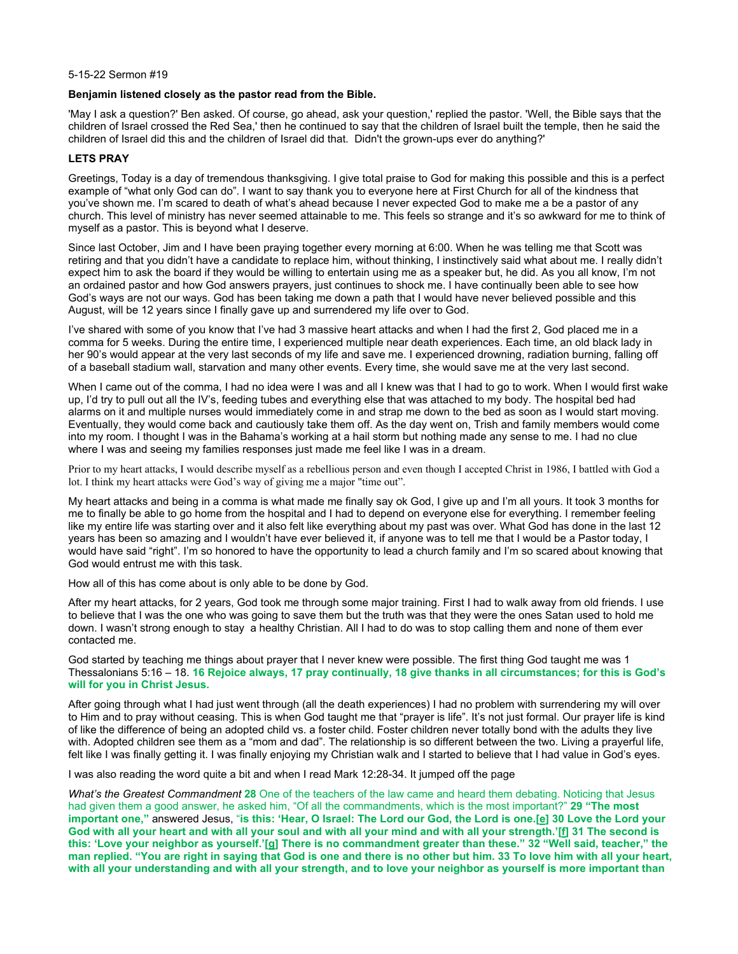## 5-15-22 Sermon #19

## **Benjamin listened closely as the pastor read from the Bible.**

['May I ask a question?' Ben asked. Of course, go ahead, ask your question,' replied the pastor. 'Well, the Bible says that the](https://www.funny-jokes.com/humor/saints/rosh_hashanah_jokes.htm)  [children of Israel crossed the Red Sea,' then he continued to say that the children of Israel built the temple, then he said the](https://www.funny-jokes.com/humor/saints/rosh_hashanah_jokes.htm)  [children of Israel did this and the children of Israel did that. Didn't the grown-ups ever do anything?'](https://www.funny-jokes.com/humor/saints/rosh_hashanah_jokes.htm)

## **LETS PRAY**

Greetings, Today is a day of tremendous thanksgiving. I give total praise to God for making this possible and this is a perfect example of "what only God can do". I want to say thank you to everyone here at First Church for all of the kindness that you've shown me. I'm scared to death of what's ahead because I never expected God to make me a be a pastor of any church. This level of ministry has never seemed attainable to me. This feels so strange and it's so awkward for me to think of myself as a pastor. This is beyond what I deserve.

Since last October, Jim and I have been praying together every morning at 6:00. When he was telling me that Scott was retiring and that you didn't have a candidate to replace him, without thinking, I instinctively said what about me. I really didn't expect him to ask the board if they would be willing to entertain using me as a speaker but, he did. As you all know, I'm not an ordained pastor and how God answers prayers, just continues to shock me. I have continually been able to see how God's ways are not our ways. God has been taking me down a path that I would have never believed possible and this August, will be 12 years since I finally gave up and surrendered my life over to God.

I've shared with some of you know that I've had 3 massive heart attacks and when I had the first 2, God placed me in a comma for 5 weeks. During the entire time, I experienced multiple near death experiences. Each time, an old black lady in her 90's would appear at the very last seconds of my life and save me. I experienced drowning, radiation burning, falling off of a baseball stadium wall, starvation and many other events. Every time, she would save me at the very last second.

When I came out of the comma, I had no idea were I was and all I knew was that I had to go to work. When I would first wake up, I'd try to pull out all the IV's, feeding tubes and everything else that was attached to my body. The hospital bed had alarms on it and multiple nurses would immediately come in and strap me down to the bed as soon as I would start moving. Eventually, they would come back and cautiously take them off. As the day went on, Trish and family members would come into my room. I thought I was in the Bahama's working at a hail storm but nothing made any sense to me. I had no clue where I was and seeing my families responses just made me feel like I was in a dream.

Prior to my heart attacks, I would describe myself as a rebellious person and even though I accepted Christ in 1986, I battled with God a lot. I think my heart attacks were God's way of giving me a major "time out".

My heart attacks and being in a comma is what made me finally say ok God, I give up and I'm all yours. It took 3 months for me to finally be able to go home from the hospital and I had to depend on everyone else for everything. I remember feeling like my entire life was starting over and it also felt like everything about my past was over. What God has done in the last 12 years has been so amazing and I wouldn't have ever believed it, if anyone was to tell me that I would be a Pastor today, I would have said "right". I'm so honored to have the opportunity to lead a church family and I'm so scared about knowing that God would entrust me with this task.

How all of this has come about is only able to be done by God.

After my heart attacks, for 2 years, God took me through some major training. First I had to walk away from old friends. I use to believe that I was the one who was going to save them but the truth was that they were the ones Satan used to hold me down. I wasn't strong enough to stay a healthy Christian. All I had to do was to stop calling them and none of them ever contacted me.

God started by teaching me things about prayer that I never knew were possible. The first thing God taught me was 1 Thessalonians 5:16 – 18. **16 Rejoice always, 17 pray continually, 18 give thanks in all circumstances; for this is God's will for you in Christ Jesus.**

After going through what I had just went through (all the death experiences) I had no problem with surrendering my will over to Him and to pray without ceasing. This is when God taught me that "prayer is life". It's not just formal. Our prayer life is kind of like the difference of being an adopted child vs. a foster child. Foster children never totally bond with the adults they live with. Adopted children see them as a "mom and dad". The relationship is so different between the two. Living a prayerful life, felt like I was finally getting it. I was finally enjoying my Christian walk and I started to believe that I had value in God's eyes.

I was also reading the word quite a bit and when I read Mark 12:28-34. It jumped off the page

*What's the Greatest Commandment* **28** One of the teachers of the law came and heard them debating. Noticing that Jesus had given them a good answer, he asked him, "Of all the commandments, which is the most important?" **29 "The most important one,"** answered Jesus, "**is this: 'Hear, O Israel: The Lord our God, the Lord is one.[[e\]](https://www.biblegateway.com/passage/?search=Mark+12&version=NIV#fen-NIV-24703e) 30 Love the Lord your God with all your heart and with all your soul and with all your mind and with all your strength.'[\[f](https://www.biblegateway.com/passage/?search=Mark+12&version=NIV#fen-NIV-24704f)] 31 The second is this: 'Love your neighbor as yourself.'[[g](https://www.biblegateway.com/passage/?search=Mark+12&version=NIV#fen-NIV-24705g)] There is no commandment greater than these." 32 "Well said, teacher," the man replied. "You are right in saying that God is one and there is no other but him. 33 To love him with all your heart, with all your understanding and with all your strength, and to love your neighbor as yourself is more important than**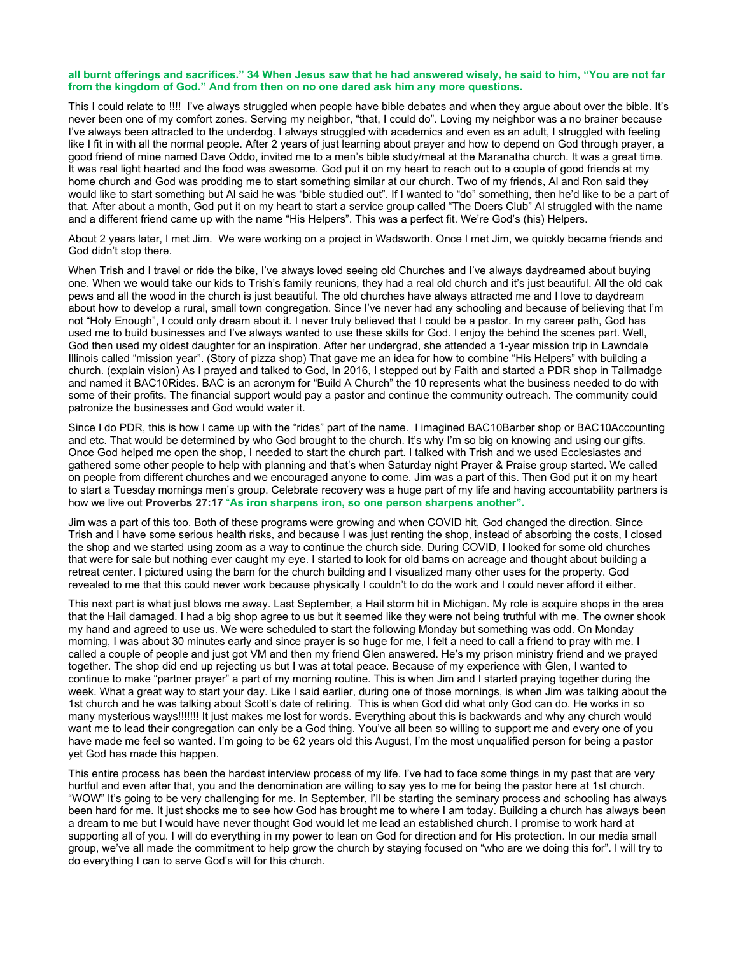## **all burnt offerings and sacrifices." 34 When Jesus saw that he had answered wisely, he said to him, "You are not far from the kingdom of God." And from then on no one dared ask him any more questions.**

This I could relate to !!!! I've always struggled when people have bible debates and when they argue about over the bible. It's never been one of my comfort zones. Serving my neighbor, "that, I could do". Loving my neighbor was a no brainer because I've always been attracted to the underdog. I always struggled with academics and even as an adult, I struggled with feeling like I fit in with all the normal people. After 2 years of just learning about prayer and how to depend on God through prayer, a good friend of mine named Dave Oddo, invited me to a men's bible study/meal at the Maranatha church. It was a great time. It was real light hearted and the food was awesome. God put it on my heart to reach out to a couple of good friends at my home church and God was prodding me to start something similar at our church. Two of my friends, Al and Ron said they would like to start something but Al said he was "bible studied out". If I wanted to "do" something, then he'd like to be a part of that. After about a month, God put it on my heart to start a service group called "The Doers Club" Al struggled with the name and a different friend came up with the name "His Helpers". This was a perfect fit. We're God's (his) Helpers.

About 2 years later, I met Jim. We were working on a project in Wadsworth. Once I met Jim, we quickly became friends and God didn't stop there.

When Trish and I travel or ride the bike, I've always loved seeing old Churches and I've always daydreamed about buying one. When we would take our kids to Trish's family reunions, they had a real old church and it's just beautiful. All the old oak pews and all the wood in the church is just beautiful. The old churches have always attracted me and I love to daydream about how to develop a rural, small town congregation. Since I've never had any schooling and because of believing that I'm not "Holy Enough", I could only dream about it. I never truly believed that I could be a pastor. In my career path, God has used me to build businesses and I've always wanted to use these skills for God. I enjoy the behind the scenes part. Well, God then used my oldest daughter for an inspiration. After her undergrad, she attended a 1-year mission trip in Lawndale Illinois called "mission year". (Story of pizza shop) That gave me an idea for how to combine "His Helpers" with building a church. (explain vision) As I prayed and talked to God, In 2016, I stepped out by Faith and started a PDR shop in Tallmadge and named it BAC10Rides. BAC is an acronym for "Build A Church" the 10 represents what the business needed to do with some of their profits. The financial support would pay a pastor and continue the community outreach. The community could patronize the businesses and God would water it.

Since I do PDR, this is how I came up with the "rides" part of the name. I imagined BAC10Barber shop or BAC10Accounting and etc. That would be determined by who God brought to the church. It's why I'm so big on knowing and using our gifts. Once God helped me open the shop, I needed to start the church part. I talked with Trish and we used Ecclesiastes and gathered some other people to help with planning and that's when Saturday night Prayer & Praise group started. We called on people from different churches and we encouraged anyone to come. Jim was a part of this. Then God put it on my heart to start a Tuesday mornings men's group. Celebrate recovery was a huge part of my life and having accountability partners is how we live out **Proverbs 27:17** "**As iron sharpens iron, so one person sharpens another".**

Jim was a part of this too. Both of these programs were growing and when COVID hit, God changed the direction. Since Trish and I have some serious health risks, and because I was just renting the shop, instead of absorbing the costs, I closed the shop and we started using zoom as a way to continue the church side. During COVID, I looked for some old churches that were for sale but nothing ever caught my eye. I started to look for old barns on acreage and thought about building a retreat center. I pictured using the barn for the church building and I visualized many other uses for the property. God revealed to me that this could never work because physically I couldn't to do the work and I could never afford it either.

This next part is what just blows me away. Last September, a Hail storm hit in Michigan. My role is acquire shops in the area that the Hail damaged. I had a big shop agree to us but it seemed like they were not being truthful with me. The owner shook my hand and agreed to use us. We were scheduled to start the following Monday but something was odd. On Monday morning, I was about 30 minutes early and since prayer is so huge for me, I felt a need to call a friend to pray with me. I called a couple of people and just got VM and then my friend Glen answered. He's my prison ministry friend and we prayed together. The shop did end up rejecting us but I was at total peace. Because of my experience with Glen, I wanted to continue to make "partner prayer" a part of my morning routine. This is when Jim and I started praying together during the week. What a great way to start your day. Like I said earlier, during one of those mornings, is when Jim was talking about the 1st church and he was talking about Scott's date of retiring. This is when God did what only God can do. He works in so many mysterious ways!!!!!!! It just makes me lost for words. Everything about this is backwards and why any church would want me to lead their congregation can only be a God thing. You've all been so willing to support me and every one of you have made me feel so wanted. I'm going to be 62 years old this August, I'm the most unqualified person for being a pastor yet God has made this happen.

This entire process has been the hardest interview process of my life. I've had to face some things in my past that are very hurtful and even after that, you and the denomination are willing to say yes to me for being the pastor here at 1st church. "WOW" It's going to be very challenging for me. In September, I'll be starting the seminary process and schooling has always been hard for me. It just shocks me to see how God has brought me to where I am today. Building a church has always been a dream to me but I would have never thought God would let me lead an established church. I promise to work hard at supporting all of you. I will do everything in my power to lean on God for direction and for His protection. In our media small group, we've all made the commitment to help grow the church by staying focused on "who are we doing this for". I will try to do everything I can to serve God's will for this church.